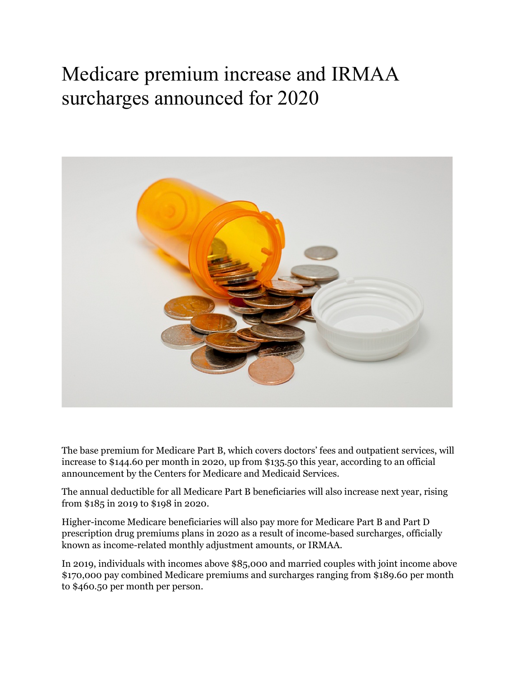## Medicare premium increase and IRMAA surcharges announced for 2020



The base premium for Medicare Part B, which covers doctors' fees and outpatient services, will increase to \$144.60 per month in 2020, up from \$135.50 this year, according to an official announcement by the Centers for Medicare and Medicaid Services.

The annual deductible for all Medicare Part B beneficiaries will also increase next year, rising from \$185 in 2019 to \$198 in 2020.

Higher-income Medicare beneficiaries will also pay more for Medicare Part B and Part D prescription drug premiums plans in 2020 as a result of income-based surcharges, officially known as income-related monthly adjustment amounts, or IRMAA.

In 2019, individuals with incomes above \$85,000 and married couples with joint income above \$170,000 pay combined Medicare premiums and surcharges ranging from \$189.60 per month to \$460.50 per month per person.